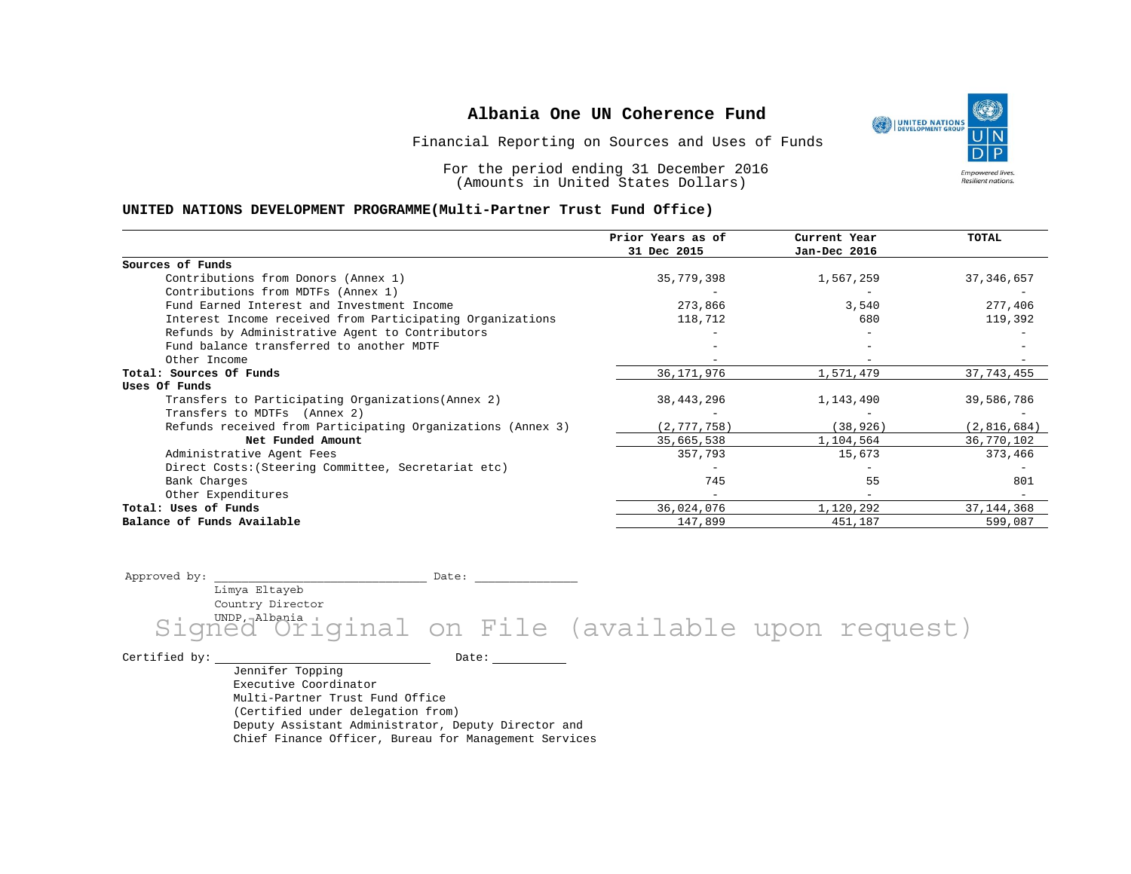Financial Reporting on Sources and Uses of Funds

For the period ending 31 December 2016 (Amounts in United States Dollars)

### **UNITED NATIONS DEVELOPMENT PROGRAMME(Multi-Partner Trust Fund Office)**

|                                                             | Prior Years as of | Current Year | TOTAL        |
|-------------------------------------------------------------|-------------------|--------------|--------------|
|                                                             | 31 Dec 2015       | Jan-Dec 2016 |              |
| Sources of Funds                                            |                   |              |              |
| Contributions from Donors (Annex 1)                         | 35,779,398        | 1,567,259    | 37, 346, 657 |
| Contributions from MDTFs (Annex 1)                          |                   |              |              |
| Fund Earned Interest and Investment Income                  | 273,866           | 3,540        | 277,406      |
| Interest Income received from Participating Organizations   | 118,712           | 680          | 119,392      |
| Refunds by Administrative Agent to Contributors             |                   |              |              |
| Fund balance transferred to another MDTF                    |                   |              |              |
| Other Income                                                |                   |              |              |
| Total: Sources Of Funds                                     | 36,171,976        | 1,571,479    | 37, 743, 455 |
| Uses Of Funds                                               |                   |              |              |
| Transfers to Participating Organizations (Annex 2)          | 38,443,296        | 1,143,490    | 39,586,786   |
| Transfers to MDTFs (Annex 2)                                |                   |              |              |
| Refunds received from Participating Organizations (Annex 3) | (2, 777, 758)     | (38, 926)    | (2,816,684)  |
| Net Funded Amount                                           | 35,665,538        | 1,104,564    | 36,770,102   |
| Administrative Agent Fees                                   | 357,793           | 15,673       | 373,466      |
| Direct Costs: (Steering Committee, Secretariat etc)         |                   |              |              |
| Bank Charges                                                | 745               | 55           | 801          |
| Other Expenditures                                          |                   |              |              |
| Total: Uses of Funds                                        | 36,024,076        | 1,120,292    | 37, 144, 368 |
| Balance of Funds Available                                  | 147,899           | 451,187      | 599,087      |

Approved by: \_\_\_\_\_\_\_\_\_\_\_\_\_\_\_\_\_\_\_\_\_\_\_\_\_\_\_\_\_\_\_ Date: \_\_\_\_\_\_\_\_\_\_\_\_\_\_\_

Limya Eltayeb Country Director

Signed Ori <sup>Smia</sup>iginal on File (available upon request)

Certified by: Date:

Jennifer Topping Executive Coordinator Multi-Partner Trust Fund Office (Certified under delegation from) Deputy Assistant Administrator, Deputy Director and Chief Finance Officer, Bureau for Management Services

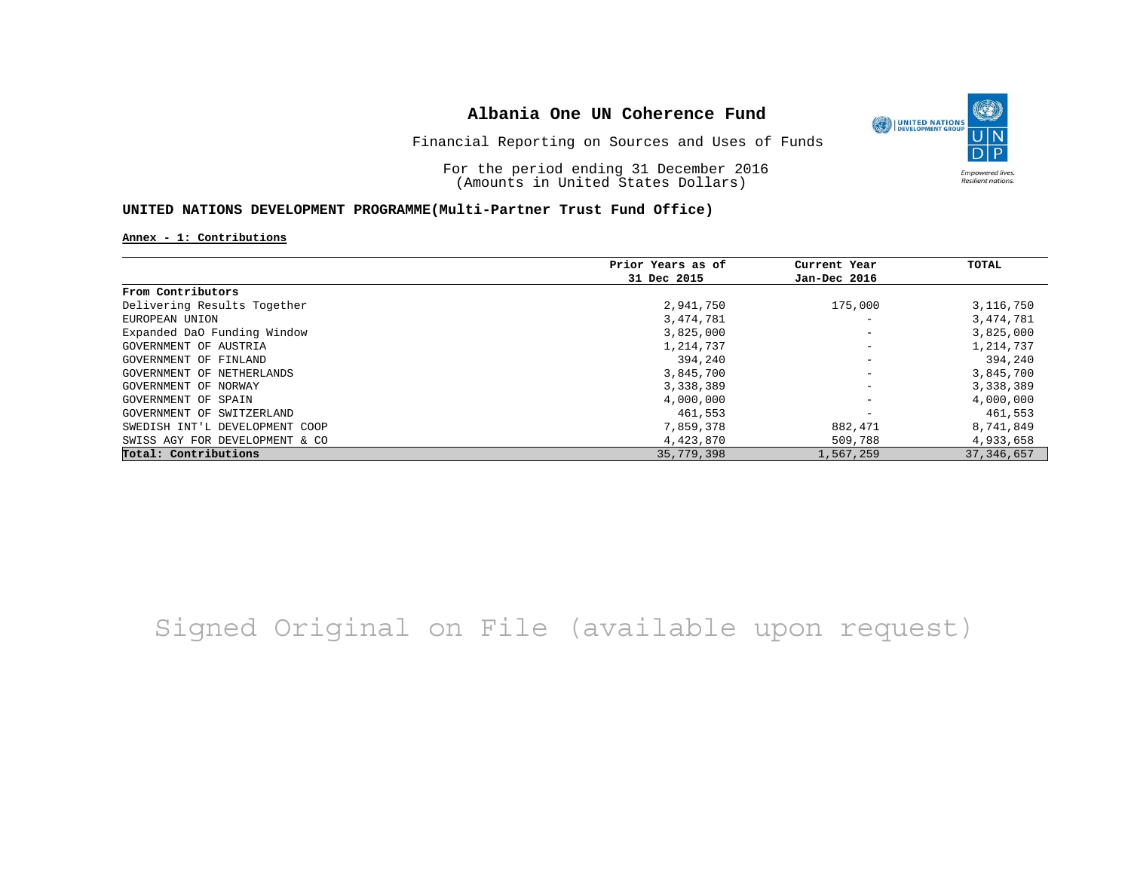

Financial Reporting on Sources and Uses of Funds

For the period ending 31 December 2016 (Amounts in United States Dollars)

## **UNITED NATIONS DEVELOPMENT PROGRAMME(Multi-Partner Trust Fund Office)**

### **Annex - 1: Contributions**

|                                | Prior Years as of | Current Year             | TOTAL        |
|--------------------------------|-------------------|--------------------------|--------------|
|                                | 31 Dec 2015       | Jan-Dec 2016             |              |
| From Contributors              |                   |                          |              |
| Delivering Results Together    | 2,941,750         | 175,000                  | 3,116,750    |
| EUROPEAN UNION                 | 3,474,781         |                          | 3,474,781    |
| Expanded DaO Funding Window    | 3,825,000         | $\overline{\phantom{m}}$ | 3,825,000    |
| GOVERNMENT OF AUSTRIA          | 1,214,737         | $\qquad \qquad -$        | 1,214,737    |
| GOVERNMENT OF FINLAND          | 394,240           | $\overline{\phantom{m}}$ | 394,240      |
| GOVERNMENT OF NETHERLANDS      | 3,845,700         |                          | 3,845,700    |
| GOVERNMENT OF NORWAY           | 3,338,389         |                          | 3,338,389    |
| GOVERNMENT OF SPAIN            | 4,000,000         |                          | 4,000,000    |
| GOVERNMENT OF SWITZERLAND      | 461,553           |                          | 461,553      |
| SWEDISH INT'L DEVELOPMENT COOP | 7,859,378         | 882,471                  | 8,741,849    |
| SWISS AGY FOR DEVELOPMENT & CO | 4,423,870         | 509,788                  | 4,933,658    |
| Total: Contributions           | 35,779,398        | 1,567,259                | 37, 346, 657 |

Signed Original on File (available upon request)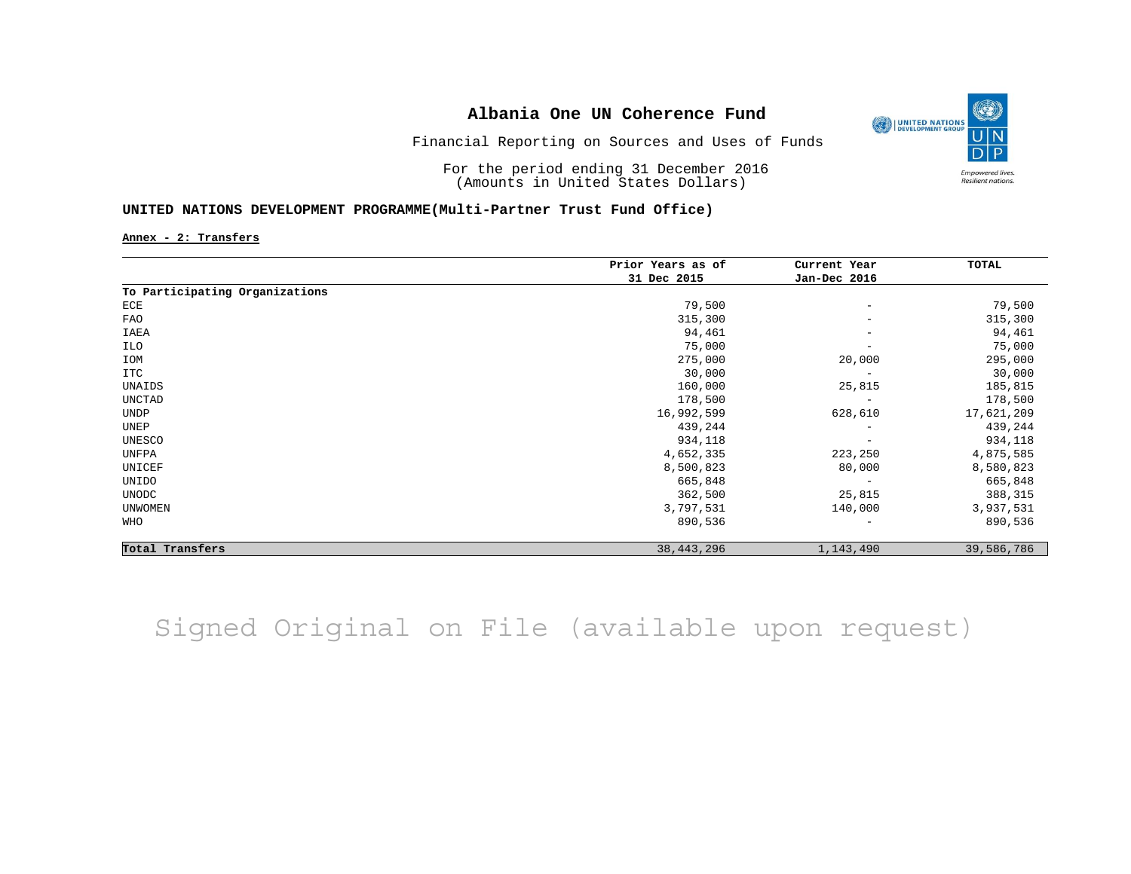

Financial Reporting on Sources and Uses of Funds

For the period ending 31 December 2016 (Amounts in United States Dollars)

## **UNITED NATIONS DEVELOPMENT PROGRAMME(Multi-Partner Trust Fund Office)**

**Annex - 2: Transfers**

|                                | Prior Years as of | Current Year<br>Jan-Dec 2016 | TOTAL      |
|--------------------------------|-------------------|------------------------------|------------|
|                                | 31 Dec 2015       |                              |            |
| To Participating Organizations |                   |                              |            |
| ECE                            | 79,500            | $\overline{\phantom{a}}$     | 79,500     |
| <b>FAO</b>                     | 315,300           | $\overline{\phantom{m}}$     | 315,300    |
| IAEA                           | 94,461            | $\overline{\phantom{m}}$     | 94,461     |
| ILO                            | 75,000            | $\overline{\phantom{m}}$     | 75,000     |
| IOM                            | 275,000           | 20,000                       | 295,000    |
| ITC                            | 30,000            | $\overline{\phantom{a}}$     | 30,000     |
| UNAIDS                         | 160,000           | 25,815                       | 185,815    |
| UNCTAD                         | 178,500           | $\overline{\phantom{a}}$     | 178,500    |
| UNDP                           | 16,992,599        | 628,610                      | 17,621,209 |
| UNEP                           | 439,244           | $\overline{\phantom{m}}$     | 439,244    |
| UNESCO                         | 934,118           | $\overline{\phantom{a}}$     | 934,118    |
| UNFPA                          | 4,652,335         | 223,250                      | 4,875,585  |
| UNICEF                         | 8,500,823         | 80,000                       | 8,580,823  |
| UNIDO                          | 665,848           | $\overline{\phantom{m}}$     | 665,848    |
| UNODC                          | 362,500           | 25,815                       | 388,315    |
| <b>UNWOMEN</b>                 | 3,797,531         | 140,000                      | 3,937,531  |
| WHO                            | 890,536           | $\qquad \qquad -$            | 890,536    |
| Total Transfers                | 38, 443, 296      | 1,143,490                    | 39,586,786 |

Signed Original on File (available upon request)